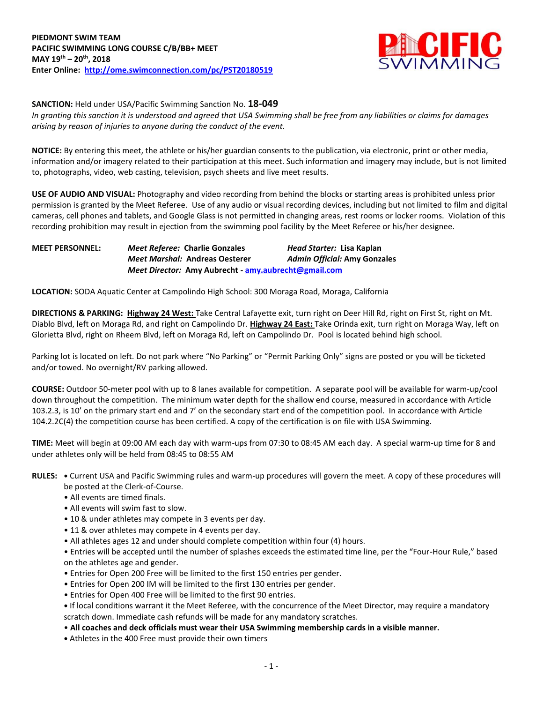

**SANCTION:** Held under USA/Pacific Swimming Sanction No. **18-049**

*In granting this sanction it is understood and agreed that USA Swimming shall be free from any liabilities or claims for damages arising by reason of injuries to anyone during the conduct of the event.*

**NOTICE:** By entering this meet, the athlete or his/her guardian consents to the publication, via electronic, print or other media, information and/or imagery related to their participation at this meet. Such information and imagery may include, but is not limited to, photographs, video, web casting, television, psych sheets and live meet results.

**USE OF AUDIO AND VISUAL:** Photography and video recording from behind the blocks or starting areas is prohibited unless prior permission is granted by the Meet Referee. Use of any audio or visual recording devices, including but not limited to film and digital cameras, cell phones and tablets, and Google Glass is not permitted in changing areas, rest rooms or locker rooms. Violation of this recording prohibition may result in ejection from the swimming pool facility by the Meet Referee or his/her designee.

| <b>MEET PERSONNEL:</b> | <b>Meet Referee: Charlie Gonzales</b>                | Head Starter: Lisa Kaplan           |
|------------------------|------------------------------------------------------|-------------------------------------|
|                        | <b>Meet Marshal: Andreas Oesterer</b>                | <b>Admin Official: Amy Gonzales</b> |
|                        | Meet Director: Amy Aubrecht - amy aubrecht@gmail.com |                                     |

**LOCATION:** SODA Aquatic Center at Campolindo High School: 300 Moraga Road, Moraga, California

**DIRECTIONS & PARKING: Highway 24 West:** Take Central Lafayette exit, turn right on Deer Hill Rd, right on First St, right on Mt. Diablo Blvd, left on Moraga Rd, and right on Campolindo Dr. **Highway 24 East:** Take Orinda exit, turn right on Moraga Way, left on Glorietta Blvd, right on Rheem Blvd, left on Moraga Rd, left on Campolindo Dr. Pool is located behind high school.

Parking lot is located on left. Do not park where "No Parking" or "Permit Parking Only" signs are posted or you will be ticketed and/or towed. No overnight/RV parking allowed.

**COURSE:** Outdoor 50-meter pool with up to 8 lanes available for competition. A separate pool will be available for warm-up/cool down throughout the competition. The minimum water depth for the shallow end course, measured in accordance with Article 103.2.3, is 10' on the primary start end and 7' on the secondary start end of the competition pool. In accordance with Article 104.2.2C(4) the competition course has been certified. A copy of the certification is on file with USA Swimming.

**TIME:** Meet will begin at 09:00 AM each day with warm-ups from 07:30 to 08:45 AM each day. A special warm-up time for 8 and under athletes only will be held from 08:45 to 08:55 AM

- **RULES: •** Current USA and Pacific Swimming rules and warm-up procedures will govern the meet. A copy of these procedures will be posted at the Clerk-of-Course.
	- All events are timed finals.
	- All events will swim fast to slow.
	- 10 & under athletes may compete in 3 events per day.
	- 11 & over athletes may compete in 4 events per day.
	- All athletes ages 12 and under should complete competition within four (4) hours.

• Entries will be accepted until the number of splashes exceeds the estimated time line, per the "Four-Hour Rule," based on the athletes age and gender.

- Entries for Open 200 Free will be limited to the first 150 entries per gender.
- Entries for Open 200 IM will be limited to the first 130 entries per gender.
- Entries for Open 400 Free will be limited to the first 90 entries.
- **•** If local conditions warrant it the Meet Referee, with the concurrence of the Meet Director, may require a mandatory scratch down. Immediate cash refunds will be made for any mandatory scratches.
- **All coaches and deck officials must wear their USA Swimming membership cards in a visible manner.**
- **•** Athletes in the 400 Free must provide their own timers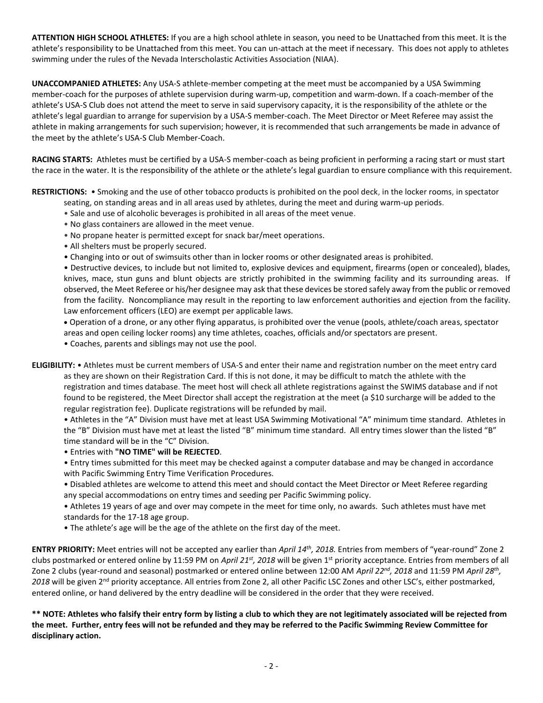**ATTENTION HIGH SCHOOL ATHLETES:** If you are a high school athlete in season, you need to be Unattached from this meet. It is the athlete's responsibility to be Unattached from this meet. You can un-attach at the meet if necessary. This does not apply to athletes swimming under the rules of the Nevada Interscholastic Activities Association (NIAA).

**UNACCOMPANIED ATHLETES:** Any USA-S athlete-member competing at the meet must be accompanied by a USA Swimming member-coach for the purposes of athlete supervision during warm-up, competition and warm-down. If a coach-member of the athlete's USA-S Club does not attend the meet to serve in said supervisory capacity, it is the responsibility of the athlete or the athlete's legal guardian to arrange for supervision by a USA-S member-coach. The Meet Director or Meet Referee may assist the athlete in making arrangements for such supervision; however, it is recommended that such arrangements be made in advance of the meet by the athlete's USA-S Club Member-Coach.

**RACING STARTS:** Athletes must be certified by a USA-S member-coach as being proficient in performing a racing start or must start the race in the water. It is the responsibility of the athlete or the athlete's legal guardian to ensure compliance with this requirement.

**RESTRICTIONS:** • Smoking and the use of other tobacco products is prohibited on the pool deck, in the locker rooms, in spectator

- seating, on standing areas and in all areas used by athletes, during the meet and during warm-up periods.
- Sale and use of alcoholic beverages is prohibited in all areas of the meet venue.
- No glass containers are allowed in the meet venue.
- No propane heater is permitted except for snack bar/meet operations.
- All shelters must be properly secured.
- Changing into or out of swimsuits other than in locker rooms or other designated areas is prohibited.

• Destructive devices, to include but not limited to, explosive devices and equipment, firearms (open or concealed), blades, knives, mace, stun guns and blunt objects are strictly prohibited in the swimming facility and its surrounding areas. If observed, the Meet Referee or his/her designee may ask that these devices be stored safely away from the public or removed from the facility. Noncompliance may result in the reporting to law enforcement authorities and ejection from the facility. Law enforcement officers (LEO) are exempt per applicable laws.

 Operation of a drone, or any other flying apparatus, is prohibited over the venue (pools, athlete/coach areas, spectator areas and open ceiling locker rooms) any time athletes, coaches, officials and/or spectators are present.

• Coaches, parents and siblings may not use the pool.

**ELIGIBILITY:** • Athletes must be current members of USA-S and enter their name and registration number on the meet entry card as they are shown on their Registration Card. If this is not done, it may be difficult to match the athlete with the registration and times database. The meet host will check all athlete registrations against the SWIMS database and if not found to be registered, the Meet Director shall accept the registration at the meet (a \$10 surcharge will be added to the regular registration fee). Duplicate registrations will be refunded by mail.

• Athletes in the "A" Division must have met at least USA Swimming Motivational "A" minimum time standard. Athletes in the "B" Division must have met at least the listed "B" minimum time standard. All entry times slower than the listed "B" time standard will be in the "C" Division.

• Entries with **"NO TIME" will be REJECTED**.

• Entry times submitted for this meet may be checked against a computer database and may be changed in accordance with Pacific Swimming Entry Time Verification Procedures.

• Disabled athletes are welcome to attend this meet and should contact the Meet Director or Meet Referee regarding any special accommodations on entry times and seeding per Pacific Swimming policy.

• Athletes 19 years of age and over may compete in the meet for time only, no awards. Such athletes must have met standards for the 17-18 age group.

• The athlete's age will be the age of the athlete on the first day of the meet.

**ENTRY PRIORITY:** Meet entries will not be accepted any earlier than *April 14th, 2018.* Entries from members of "year-round" Zone 2 clubs postmarked or entered online by 11:59 PM on *April 21st, 2018* will be given 1st priority acceptance. Entries from members of all Zone 2 clubs (year-round and seasonal) postmarked or entered online between 12:00 AM *April 22nd, 2018* and 11:59 PM *April 28th ,*  2018 will be given 2<sup>nd</sup> priority acceptance. All entries from Zone 2, all other Pacific LSC Zones and other LSC's, either postmarked, entered online, or hand delivered by the entry deadline will be considered in the order that they were received.

**\*\* NOTE: Athletes who falsify their entry form by listing a club to which they are not legitimately associated will be rejected from the meet. Further, entry fees will not be refunded and they may be referred to the Pacific Swimming Review Committee for disciplinary action.**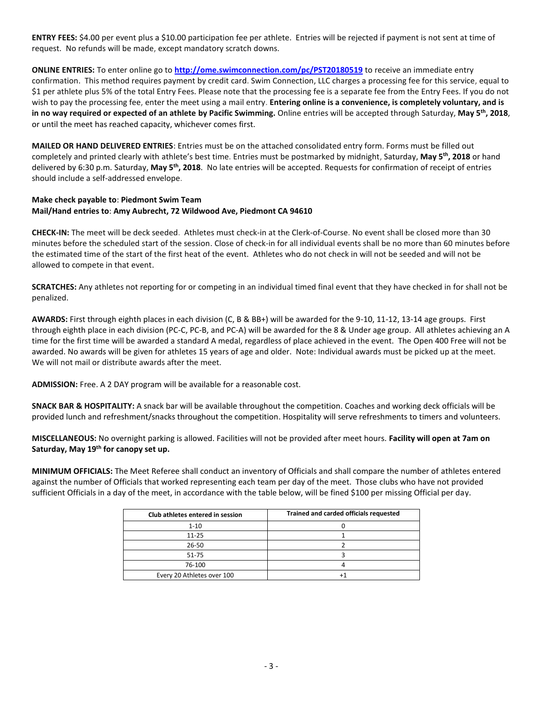**ENTRY FEES:** \$4.00 per event plus a \$10.00 participation fee per athlete. Entries will be rejected if payment is not sent at time of request. No refunds will be made, except mandatory scratch downs.

**ONLINE ENTRIES:** To enter online go to **<http://ome.swimconnection.com/pc/PST20180519>** to receive an immediate entry confirmation. This method requires payment by credit card. Swim Connection, LLC charges a processing fee for this service, equal to \$1 per athlete plus 5% of the total Entry Fees. Please note that the processing fee is a separate fee from the Entry Fees. If you do not wish to pay the processing fee, enter the meet using a mail entry. **Entering online is a convenience, is completely voluntary, and is in no way required or expected of an athlete by Pacific Swimming.** Online entries will be accepted through Saturday, **May 5 th , 2018**, or until the meet has reached capacity, whichever comes first.

**MAILED OR HAND DELIVERED ENTRIES**: Entries must be on the attached consolidated entry form. Forms must be filled out completely and printed clearly with athlete's best time. Entries must be postmarked by midnight, Saturday, **May 5th, 2018** or hand delivered by 6:30 p.m. Saturday, May 5<sup>th</sup>, 2018. No late entries will be accepted. Requests for confirmation of receipt of entries should include a self-addressed envelope.

## **Make check payable to**: **Piedmont Swim Team Mail/Hand entries to**: **Amy Aubrecht, 72 Wildwood Ave, Piedmont CA 94610**

**CHECK-IN:** The meet will be deck seeded. Athletes must check-in at the Clerk-of-Course. No event shall be closed more than 30 minutes before the scheduled start of the session. Close of check-in for all individual events shall be no more than 60 minutes before the estimated time of the start of the first heat of the event. Athletes who do not check in will not be seeded and will not be allowed to compete in that event.

**SCRATCHES:** Any athletes not reporting for or competing in an individual timed final event that they have checked in for shall not be penalized.

**AWARDS:** First through eighth places in each division (C, B & BB+) will be awarded for the 9-10, 11-12, 13-14 age groups. First through eighth place in each division (PC-C, PC-B, and PC-A) will be awarded for the 8 & Under age group. All athletes achieving an A time for the first time will be awarded a standard A medal, regardless of place achieved in the event. The Open 400 Free will not be awarded. No awards will be given for athletes 15 years of age and older. Note: Individual awards must be picked up at the meet. We will not mail or distribute awards after the meet.

**ADMISSION:** Free. A 2 DAY program will be available for a reasonable cost.

**SNACK BAR & HOSPITALITY:** A snack bar will be available throughout the competition. Coaches and working deck officials will be provided lunch and refreshment/snacks throughout the competition. Hospitality will serve refreshments to timers and volunteers.

**MISCELLANEOUS:** No overnight parking is allowed. Facilities will not be provided after meet hours. **Facility will open at 7am on Saturday, May 19th for canopy set up.** 

**MINIMUM OFFICIALS:** The Meet Referee shall conduct an inventory of Officials and shall compare the number of athletes entered against the number of Officials that worked representing each team per day of the meet. Those clubs who have not provided sufficient Officials in a day of the meet, in accordance with the table below, will be fined \$100 per missing Official per day.

| Club athletes entered in session | Trained and carded officials requested |  |  |  |  |  |
|----------------------------------|----------------------------------------|--|--|--|--|--|
| $1 - 10$                         |                                        |  |  |  |  |  |
| $11 - 25$                        |                                        |  |  |  |  |  |
| $26 - 50$                        |                                        |  |  |  |  |  |
| 51-75                            |                                        |  |  |  |  |  |
| 76-100                           |                                        |  |  |  |  |  |
| Every 20 Athletes over 100       |                                        |  |  |  |  |  |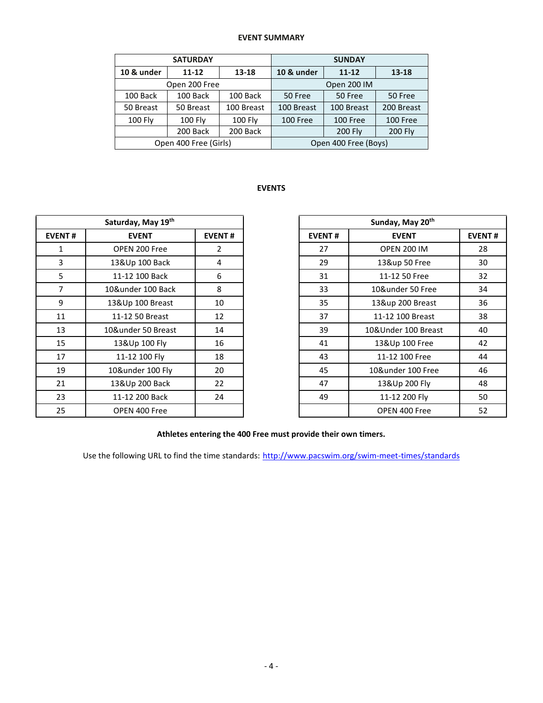## **EVENT SUMMARY**

|            | <b>SATURDAY</b>       |                | <b>SUNDAY</b>        |            |                |  |  |  |
|------------|-----------------------|----------------|----------------------|------------|----------------|--|--|--|
| 10 & under | $11 - 12$<br>13-18    |                | 10 & under           | $13 - 18$  |                |  |  |  |
|            | Open 200 Free         |                | Open 200 IM          |            |                |  |  |  |
| 100 Back   | 100 Back              | 100 Back       | 50 Free              | 50 Free    |                |  |  |  |
| 50 Breast  | 50 Breast             | 100 Breast     | 100 Breast           | 100 Breast | 200 Breast     |  |  |  |
| 100 Fly    | <b>100 Fly</b>        | <b>100 Fly</b> | 100 Free             | 100 Free   | 100 Free       |  |  |  |
|            | 200 Back              | 200 Back       |                      | 200 Fly    | <b>200 Fly</b> |  |  |  |
|            | Open 400 Free (Girls) |                | Open 400 Free (Boys) |            |                |  |  |  |

## **EVENTS**

|               | Saturday, May 19th |                |               | Sunday, May 20 <sup>th</sup> |                     |  |  |  |
|---------------|--------------------|----------------|---------------|------------------------------|---------------------|--|--|--|
| <b>EVENT#</b> | <b>EVENT</b>       | <b>EVENT#</b>  | <b>EVENT#</b> |                              | <b>EVENT</b>        |  |  |  |
| 1             | OPEN 200 Free      | $\overline{2}$ | 27            |                              | <b>OPEN 200 IM</b>  |  |  |  |
| 3             | 13&Up 100 Back     | 4              | 29            |                              | 13&up 50 Free       |  |  |  |
| 5             | 11-12 100 Back     | 6              | 31            |                              | 11-12 50 Free       |  |  |  |
| 7             | 10&under 100 Back  | 8              | 33            |                              | 10&under 50 Free    |  |  |  |
| 9             | 13&Up 100 Breast   | 10             | 35            |                              | 13&up 200 Breast    |  |  |  |
| 11            | 11-12 50 Breast    | 12             | 37            |                              | 11-12 100 Breast    |  |  |  |
| 13            | 10&under 50 Breast | 14             | 39            |                              | 10&Under 100 Breast |  |  |  |
| 15            | 13&Up 100 Fly      | 16             | 41            |                              | 13&Up 100 Free      |  |  |  |
| 17            | 11-12 100 Fly      | 18             | 43            |                              | 11-12 100 Free      |  |  |  |
| 19            | 10&under 100 Fly   | 20             | 45            |                              | 10&under 100 Free   |  |  |  |
| 21            | 13&Up 200 Back     | 22             | 47            |                              | 13&Up 200 Fly       |  |  |  |
| 23            | 11-12 200 Back     | 24             | 49            |                              | 11-12 200 Fly       |  |  |  |
| 25            | OPEN 400 Free      |                |               |                              | OPEN 400 Free       |  |  |  |

| Saturday, May 19th |                    |               |               | Sunday, May 20th    |               |  |  |  |
|--------------------|--------------------|---------------|---------------|---------------------|---------------|--|--|--|
| NT#                | <b>EVENT</b>       | <b>EVENT#</b> | <b>EVENT#</b> | <b>EVENT</b>        | <b>EVENT#</b> |  |  |  |
| 1                  | OPEN 200 Free      | 2             | 27            | <b>OPEN 200 IM</b>  | 28            |  |  |  |
| 3                  | 13&Up 100 Back     | 4             | 29            | 13&up 50 Free       | 30            |  |  |  |
| 5                  | 11-12 100 Back     | 6             | 31            | 11-12 50 Free       | 32            |  |  |  |
| $\overline{7}$     | 10&under 100 Back  | 8             | 33            | 10&under 50 Free    | 34            |  |  |  |
| 9                  | 13&Up 100 Breast   | 10            | 35            | 13&up 200 Breast    | 36            |  |  |  |
| L1                 | 11-12 50 Breast    | 12            | 37            | 11-12 100 Breast    | 38            |  |  |  |
| L3                 | 10&under 50 Breast | 14            | 39            | 10&Under 100 Breast | 40            |  |  |  |
| L5                 | 13&Up 100 Fly      | 16            | 41            | 13&Up 100 Free      | 42            |  |  |  |
| L7                 | 11-12 100 Fly      | 18            | 43            | 11-12 100 Free      | 44            |  |  |  |
| L9                 | 10&under 100 Fly   | 20            | 45            | 10&under 100 Free   | 46            |  |  |  |
| $^{21}$            | 13&Up 200 Back     | 22            | 47            | 13&Up 200 Fly       | 48            |  |  |  |
| 23.                | 11-12 200 Back     | 24            | 49            | 11-12 200 Fly       | 50            |  |  |  |
| 25                 | OPEN 400 Free      |               |               | OPEN 400 Free       | 52            |  |  |  |

## **Athletes entering the 400 Free must provide their own timers.**

Use the following URL to find the time standards: <http://www.pacswim.org/swim-meet-times/standards>